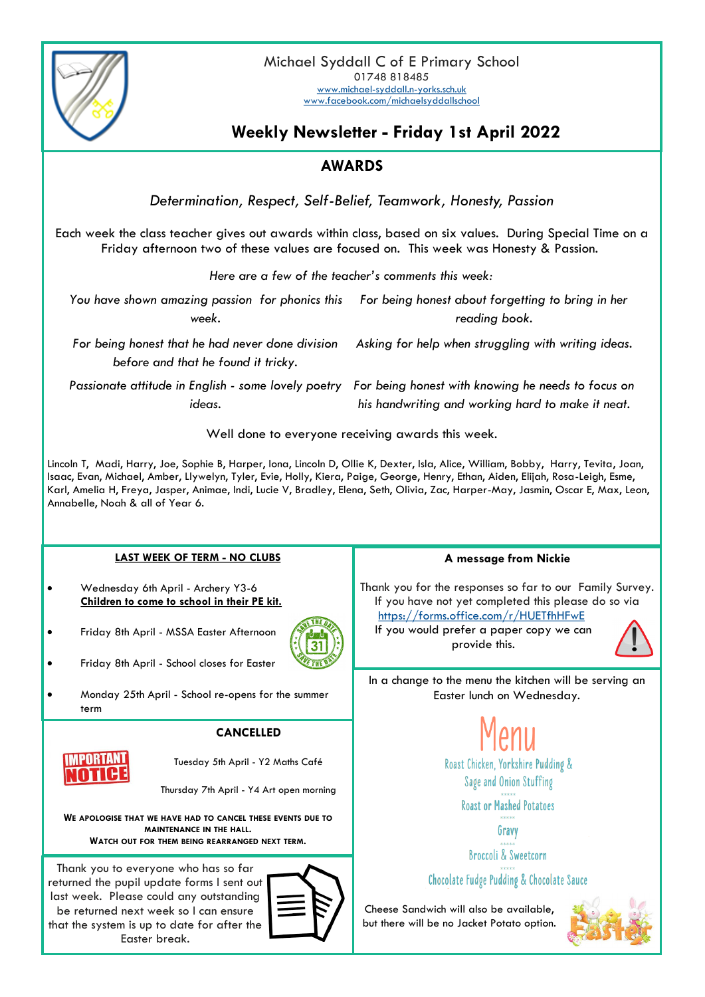

## **Weekly Newsletter - Friday 1st April 2022**

## **AWARDS**

*Determination, Respect, Self-Belief, Teamwork, Honesty, Passion*

Each week the class teacher gives out awards within class, based on six values. During Special Time on a Friday afternoon two of these values are focused on. This week was Honesty & Passion.

*Here are a few of the teacher's comments this week:*

*You have shown amazing passion for phonics this For being honest about forgetting to bring in her week. reading book.*

*For being honest that he had never done division before and that he found it tricky.*

*Passionate attitude in English - some lovely poetry For being honest with knowing he needs to focus on ideas.*

*Asking for help when struggling with writing ideas.*

*his handwriting and working hard to make it neat.*

Well done to everyone receiving awards this week.

Lincoln T, Madi, Harry, Joe, Sophie B, Harper, Iona, Lincoln D, Ollie K, Dexter, Isla, Alice, William, Bobby, Harry, Tevita, Joan, Isaac, Evan, Michael, Amber, Llywelyn, Tyler, Evie, Holly, Kiera, Paige, George, Henry, Ethan, Aiden, Elijah, Rosa-Leigh, Esme, Karl, Amelia H, Freya, Jasper, Animae, Indi, Lucie V, Bradley, Elena, Seth, Olivia, Zac, Harper-May, Jasmin, Oscar E, Max, Leon, Annabelle, Noah & all of Year 6.